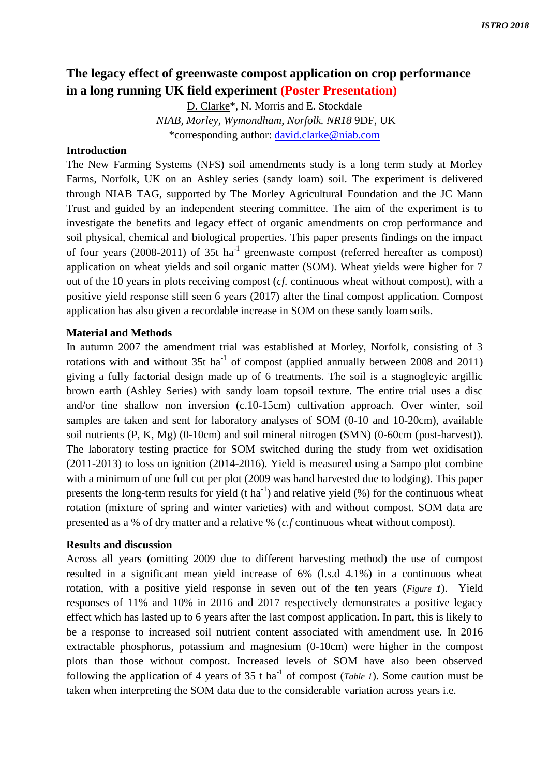# **The legacy effect of greenwaste compost application on crop performance in a long running UK field experiment (Poster Presentation)**

D. Clarke\*, N. Morris and E. Stockdale *NIAB, Morley, Wymondham, Norfolk. NR18* 9DF, UK \*corresponding author: [david.clarke@niab.com](mailto:david.clarke@niab.com)

## **Introduction**

The New Farming Systems (NFS) soil amendments study is a long term study at Morley Farms, Norfolk, UK on an Ashley series (sandy loam) soil. The experiment is delivered through NIAB TAG, supported by The Morley Agricultural Foundation and the JC Mann Trust and guided by an independent steering committee. The aim of the experiment is to investigate the benefits and legacy effect of organic amendments on crop performance and soil physical, chemical and biological properties. This paper presents findings on the impact of four years  $(2008-2011)$  of 35t ha<sup>-1</sup> greenwaste compost (referred hereafter as compost) application on wheat yields and soil organic matter (SOM). Wheat yields were higher for 7 out of the 10 years in plots receiving compost (*cf.* continuous wheat without compost), with a positive yield response still seen 6 years (2017) after the final compost application. Compost application has also given a recordable increase in SOM on these sandy loam soils.

## **Material and Methods**

In autumn 2007 the amendment trial was established at Morley, Norfolk, consisting of 3 rotations with and without  $35t$  ha<sup>-1</sup> of compost (applied annually between 2008 and 2011) giving a fully factorial design made up of 6 treatments. The soil is a stagnogleyic argillic brown earth (Ashley Series) with sandy loam topsoil texture. The entire trial uses a disc and/or tine shallow non inversion (c.10-15cm) cultivation approach. Over winter, soil samples are taken and sent for laboratory analyses of SOM (0-10 and 10-20cm), available soil nutrients (P, K, Mg) (0-10cm) and soil mineral nitrogen (SMN) (0-60cm (post-harvest)). The laboratory testing practice for SOM switched during the study from wet oxidisation (2011-2013) to loss on ignition (2014-2016). Yield is measured using a Sampo plot combine with a minimum of one full cut per plot (2009 was hand harvested due to lodging). This paper presents the long-term results for yield  $(t \text{ ha}^{-1})$  and relative yield  $(\%)$  for the continuous wheat rotation (mixture of spring and winter varieties) with and without compost. SOM data are presented as a % of dry matter and a relative % (*c.f* continuous wheat without compost).

#### **Results and discussion**

Across all years (omitting 2009 due to different harvesting method) the use of compost resulted in a significant mean yield increase of 6% (l.s.d 4.1%) in a continuous wheat rotation, with a positive yield response in seven out of the ten years (*Figure 1*). Yield responses of 11% and 10% in 2016 and 2017 respectively demonstrates a positive legacy effect which has lasted up to 6 years after the last compost application. In part, this is likely to be a response to increased soil nutrient content associated with amendment use. In 2016 extractable phosphorus, potassium and magnesium (0-10cm) were higher in the compost plots than those without compost. Increased levels of SOM have also been observed following the application of 4 years of 35 t ha<sup>-1</sup> of compost (*Table 1*). Some caution must be taken when interpreting the SOM data due to the considerable variation across years i.e.